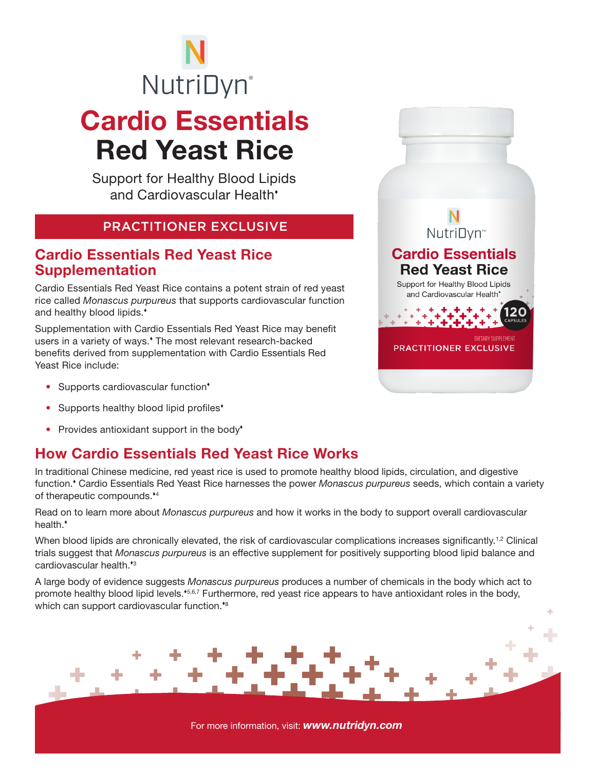# Cardio Essentials Red Yeast Rice **NutriDyn**®

Support for Healthy Blood Lipids and Cardiovascular Health

#### PRACTITIONER EXCLUSIVE

#### Cardio Essentials Red Yeast Rice Supplementation

Cardio Essentials Red Yeast Rice contains a potent strain of red yeast rice called *Monascus purpureus* that supports cardiovascular function and healthy blood lipids.<sup>\*</sup>

Supplementation with Cardio Essentials Red Yeast Rice may benefit users in a variety of ways.<sup>\*</sup> The most relevant research-backed benefits derived from supplementation with Cardio Essentials Red Yeast Rice include:

- Supports cardiovascular function<sup>\*</sup>
- Supports healthy blood lipid profiles<sup>\*</sup>
- Provides antioxidant support in the body<sup>\*</sup>

### How Cardio Essentials Red Yeast Rice Works

In traditional Chinese medicine, red yeast rice is used to promote healthy blood lipids, circulation, and digestive function. Cardio Essentials Red Yeast Rice harnesses the power *Monascus purpureus* seeds, which contain a variety of therapeutic compounds.\*4

Read on to learn more about *Monascus purpureus* and how it works in the body to support overall cardiovascular health.

When blood lipids are chronically elevated, the risk of cardiovascular complications increases significantly.<sup>1,2</sup> Clinical trials suggest that *Monascus purpureus* is an effective supplement for positively supporting blood lipid balance and cardiovascular health.<sup>\*3</sup>

A large body of evidence suggests *Monascus purpureus* produces a number of chemicals in the body which act to promote healthy blood lipid levels.<sup>\*5,6,7</sup> Furthermore, red yeast rice appears to have antioxidant roles in the body, which can support cardiovascular function.<sup>48</sup>